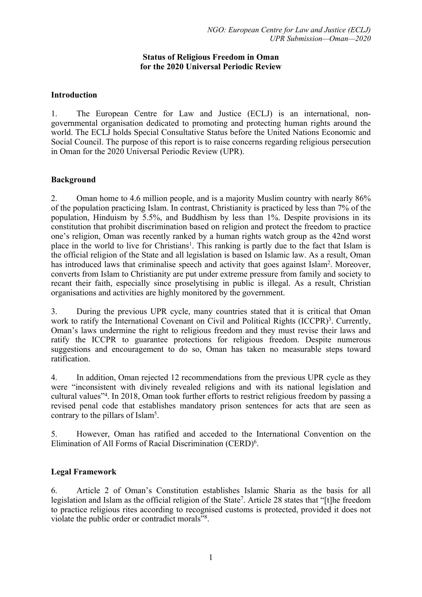### **Status of Religious Freedom in Oman for the 2020 Universal Periodic Review**

## **Introduction**

1. The European Centre for Law and Justice (ECLJ) is an international, nongovernmental organisation dedicated to promoting and protecting human rights around the world. The ECLJ holds Special Consultative Status before the United Nations Economic and Social Council. The purpose of this repor<sup>t</sup> is to raise concerns regarding religious persecution in Oman for the 2020 Universal Periodic Review (UPR).

### **Background**

2. Oman home to 4.6 million people, and is <sup>a</sup> majority Muslim country with nearly 86% of the population practicing Islam. In contrast, Christianity is practiced by less than 7% of the population, Hinduism by 5.5%, and Buddhism by less than 1%. Despite provisions in its constitution that prohibit discrimination based on religion and protect the freedom to practice one'<sup>s</sup> religion, Oman was recently ranked by <sup>a</sup> human rights watch group as the 42nd worst place in the world to live for Christians<sup>1</sup>. This ranking is partly due to the fact that Islam is the official religion of the State and all legislation is based on Islamic law. As <sup>a</sup> result, Oman has introduced laws that criminalise speech and activity that goes against Islam<sup>2</sup>. Moreover, converts from Islam to Christianity are pu<sup>t</sup> under extreme pressure from family and society to recant their faith, especially since proselytising in public is illegal. As <sup>a</sup> result, Christian organisations and activities are highly monitored by the government.

3. During the previous UPR cycle, many countries stated that it is critical that Oman work to ratify the International Covenant on Civil and Political Rights (ICCPR)<sup>3</sup>. Currently, Oman'<sup>s</sup> laws undermine the right to religious freedom and they must revise their laws and ratify the ICCPR to guarantee protections for religious freedom. Despite numerous suggestions and encouragemen<sup>t</sup> to do so, Oman has taken no measurable steps toward ratification.

4. In addition, Oman rejected 12 recommendations from the previous UPR cycle as they were "inconsistent with divinely revealed religions and with its national legislation and cultural values"<sup>4</sup> . In 2018, Oman took further efforts to restrict religious freedom by passing <sup>a</sup> revised penal code that establishes mandatory prison sentences for acts that are seen as contrary to the pillars of Islam<sup>5</sup>.

5. However, Oman has ratified and acceded to the International Convention on the Elimination of All Forms of Racial Discrimination (CERD) 6 .

# **Legal Framework**

6. Article 2 of Oman'<sup>s</sup> Constitution establishes Islamic Sharia as the basis for all legislation and Islam as the official religion of the State<sup>7</sup> . Article 28 states that "[t]he freedom to practice religious rites according to recognised customs is protected, provided it does not violate the public order or contradict morals"<sup>8</sup> .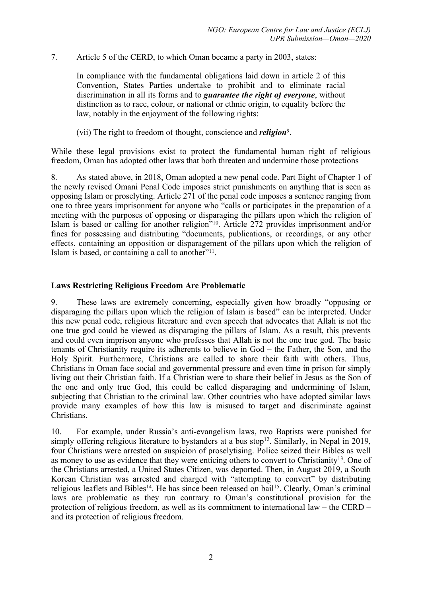7. Article 5 of the CERD, to which Oman became <sup>a</sup> party in 2003, states:

In compliance with the fundamental obligations laid down in article 2 of this Convention, States Parties undertake to prohibit and to eliminate racial discrimination in all its forms and to *guarantee the right of everyone*, without distinction as to race, colour, or national or ethnic origin, to equality before the law, notably in the enjoyment of the following rights:

(vii) The right to freedom of thought, conscience and *religion*<sup>9</sup> .

While these legal provisions exist to protect the fundamental human right of religious freedom, Oman has adopted other laws that both threaten and undermine those protections

8. As stated above, in 2018, Oman adopted <sup>a</sup> new penal code. Part Eight of Chapter 1 of the newly revised Omani Penal Code imposes strict punishments on anything that is seen as opposing Islam or proselyting. Article 271 of the penal code imposes <sup>a</sup> sentence ranging from one to three years imprisonment for anyone who "calls or participates in the preparation of <sup>a</sup> meeting with the purposes of opposing or disparaging the pillars upon which the religion of Islam is based or calling for another religion"<sup>10</sup>. Article 272 provides imprisonment and/or fines for possessing and distributing "documents, publications, or recordings, or any other effects, containing an opposition or disparagement of the pillars upon which the religion of Islam is based, or containing a call to another"<sup>11</sup>.

### **Laws Restricting Religious Freedom Are Problematic**

9. These laws are extremely concerning, especially given how broadly "opposing or disparaging the pillars upon which the religion of Islam is based" can be interpreted. Under this new penal code, religious literature and even speech that advocates that Allah is not the one true god could be viewed as disparaging the pillars of Islam. As <sup>a</sup> result, this prevents and could even imprison anyone who professes that Allah is not the one true god. The basic tenants of Christianity require its adherents to believe in God – the Father, the Son, and the Holy Spirit. Furthermore, Christians are called to share their faith with others. Thus, Christians in Oman face social and governmental pressure and even time in prison for simply living out their Christian faith. If <sup>a</sup> Christian were to share their belief in Jesus as the Son of the one and only true God, this could be called disparaging and undermining of Islam, subjecting that Christian to the criminal law. Other countries who have adopted similar laws provide many examples of how this law is misused to target and discriminate against Christians.

10. For example, under Russia'<sup>s</sup> anti-evangelism laws, two Baptists were punished for simply offering religious literature to bystanders at a bus stop<sup>12</sup>. Similarly, in Nepal in 2019, four Christians were arrested on suspicion of proselytising. Police seized their Bibles as well as money to use as evidence that they were enticing others to convert to Christianity<sup>13</sup>. One of the Christians arrested, <sup>a</sup> United States Citizen, was deported. Then, in August 2019, <sup>a</sup> South Korean Christian was arrested and charged with "attempting to convert" by distributing religious leaflets and Bibles<sup>14</sup>. He has since been released on bail<sup>15</sup>. Clearly, Oman's criminal laws are problematic as they run contrary to Oman'<sup>s</sup> constitutional provision for the protection of religious freedom, as well as its commitment to international law – the CERD – and its protection of religious freedom.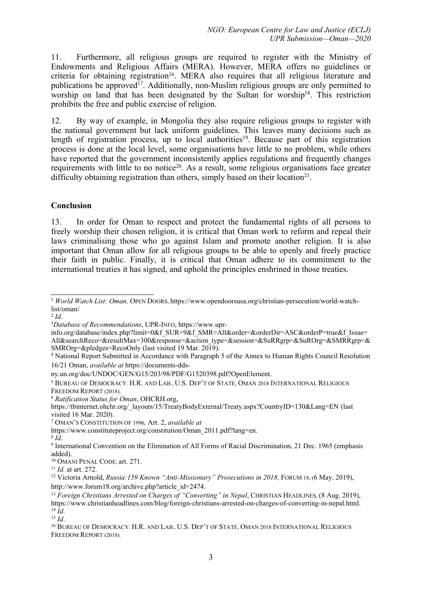11. Furthermore, all religious groups are required to register with the Ministry of Endowments and Religious Affairs (MERA). However, MERA offers no guidelines or criteria for obtaining registration<sup>16</sup>. MERA also requires that all religious literature and publications be approved<sup>17</sup>. Additionally, non-Muslim religious groups are only permitted to worship on land that has been designated by the Sultan for worship<sup>18</sup>. This restriction prohibits the free and public exercise of religion.

12. By way of example, in Mongolia they also require religious groups to register with the national governmen<sup>t</sup> but lack uniform guidelines. This leaves many decisions such as length of registration process, up to local authorities<sup>19</sup>. Because part of this registration process is done at the local level, some organisations have little to no problem, while others have reported that the governmen<sup>t</sup> inconsistently applies regulations and frequently changes requirements with little to no notice<sup>20</sup>. As a result, some religious organisations face greater difficulty obtaining registration than others, simply based on their location<sup>21</sup>.

### **Conclusion**

13. In order for Oman to respec<sup>t</sup> and protect the fundamental rights of all persons to freely worship their chosen religion, it is critical that Oman work to reform and repeal their laws criminalising those who go against Islam and promote another religion. It is also important that Oman allow for all religious groups to be able to openly and freely practice their faith in public. Finally, it is critical that Oman adhere to its commitment to the international treaties it has signed, and uphold the principles enshrined in those treaties.

2 *Id*.

<sup>7</sup> OMAN'<sup>S</sup> CONSTITUTION OF <sup>1996</sup>*,* Art. 2, *available at*

15 *Id*.

<sup>1</sup> *World Watch List: Oman,* OPEN <sup>D</sup>OORS, https://www.opendoorsusa.org/christian-persecution/world-watchlist/oman/

<sup>3</sup>*Database of Recommendations*, UPR-INFO, https://www.upr-

info.org/database/index.php?limit=0&f\_SUR=9&f\_SMR=All&order=&orderDir=ASC&orderP=true&f\_Issue= All&searchReco=&resultMax=300&response=&action\_type=&session=&SuRRgrp=&SuROrg=&SMRRgrp=& SMROrg=&pledges=RecoOnly (last visited 19 Mar. 2019).

<sup>4</sup> National Report Submitted in Accordance with Paragraph <sup>5</sup> of the Annex to Human Rights Council Resolution 16/21 Oman, *available at* https://documents-dds-

ny.un.org/doc/UNDOC/GEN/G15/203/98/PDF/G1520398.pdf?OpenElement.

<sup>5</sup> BUREAU OF DEMOCRACY. H.R. AND LAB., U.S. DEP'<sup>T</sup> OF STATE, OMAN <sup>2018</sup> INTERNATIONAL RELIGIOUS FREEDOM REPORT (2018).

<sup>6</sup> *Ratification Status for Oman*, OHCRH.org,

https://tbinternet.ohchr.org/\_layouts/15/TreatyBodyExternal/Treaty.aspx?CountryID=130&Lang=EN (last visited 16 Mar. 2020).

https://www.constituteproject.org/constitution/Oman\_2011.pdf?lang=en.

<sup>8</sup> *Id*.

<sup>9</sup> International Convention on the Elimination of All Forms of Racial Discrimination, 21 Dec. 1965 (emphasis added).

<sup>&</sup>lt;sup>10</sup> OMANI PENAL CODE, art. 271.

<sup>11</sup> *Id.* at art. 272.

<sup>12</sup> Victoria Arnold, *Russia:159 Known "Anti-Missionary" Prosecutions in 2018,* <sup>F</sup>ORUM 18, (6 May. 2019), http://www.forum18.org/archive.php?article\_id=2474.

<sup>13</sup> *Foreign Christians Arrested on Charges of "Converting" in Nepal*, CHRISTIAN HEADLINES, (8 Aug. 2019), https://www.christianheadlines.com/blog/foreign-christians-arrested-on-charges-of-converting-in-nepal.html. 14 *Id*.

<sup>16</sup> BUREAU OF DEMOCRACY. H.R. AND LAB., U.S. DEP'<sup>T</sup> OF STATE, OMAN <sup>2018</sup> INTERNATIONAL RELIGIOUS FREEDOM REPORT (2018).